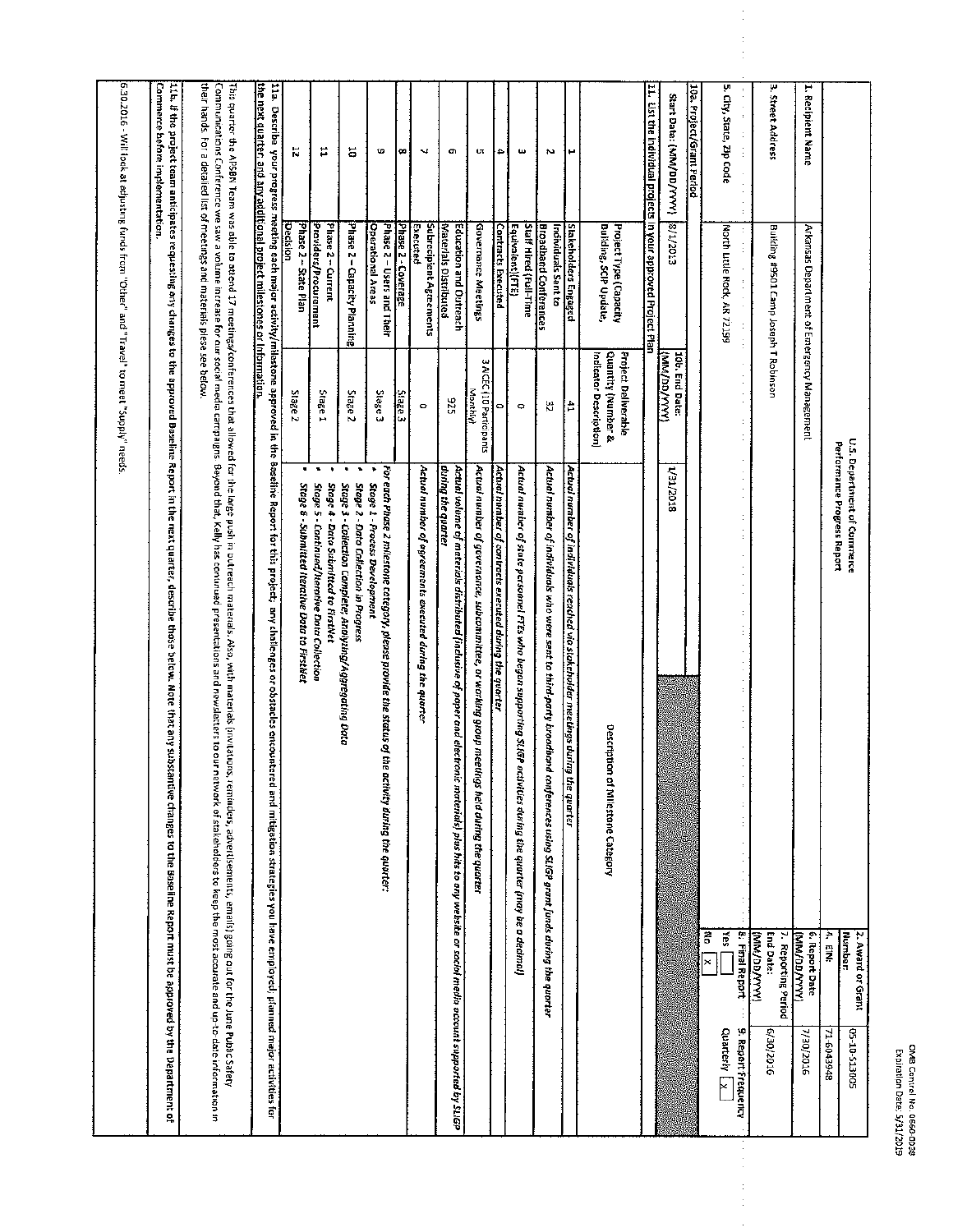| U.S. Department of Commerce                                                                                                                                                                                                            |                                                                                                                                                                                                                                                                                                                   | 2. Award or Grant                                   |                                     |
|----------------------------------------------------------------------------------------------------------------------------------------------------------------------------------------------------------------------------------------|-------------------------------------------------------------------------------------------------------------------------------------------------------------------------------------------------------------------------------------------------------------------------------------------------------------------|-----------------------------------------------------|-------------------------------------|
|                                                                                                                                                                                                                                        |                                                                                                                                                                                                                                                                                                                   | <b>Number:</b>                                      | 500815-01-50                        |
|                                                                                                                                                                                                                                        | Performance Progress Report                                                                                                                                                                                                                                                                                       | 4. EIN:                                             | 71-6043948                          |
| 1. Recipient Name<br>Arkansas Department of Emergency Management                                                                                                                                                                       |                                                                                                                                                                                                                                                                                                                   | 6. Report Date<br>(XXXX/OO/WW)                      | 7/30/2016                           |
| 3. Street Address<br>Building #9501 Camp Joseph T Robinson                                                                                                                                                                             |                                                                                                                                                                                                                                                                                                                   | <b>End Date:</b><br>7. Reporting Period<br>(YYYYOO) | 6/30/2016                           |
| 5. City, State, Zip Code<br>North Little Rock, AR 72199                                                                                                                                                                                | t<br>š<br><b>SB</b>                                                                                                                                                                                                                                                                                               | 8. Final Report<br>×                                | 9. Report Frequency<br>Quarterly LX |
| 10a. Project/Grant Period                                                                                                                                                                                                              |                                                                                                                                                                                                                                                                                                                   |                                                     |                                     |
| Start Date: (MM/DD/YYYY)<br>5102/1/8<br>10b. End Date:<br>( <i>WWYGG/WW</i> )<br>1/31/2018                                                                                                                                             |                                                                                                                                                                                                                                                                                                                   |                                                     |                                     |
| I1. Eist the individual projects in your approved Project Plan                                                                                                                                                                         |                                                                                                                                                                                                                                                                                                                   |                                                     |                                     |
| Bullding, SCIP Update,<br>Project Type (Capacity<br>Quantity (Number &<br>Project Deliverable<br>Indicator Description)                                                                                                                | Description of Mikstone Category                                                                                                                                                                                                                                                                                  |                                                     |                                     |
| н<br><b>Stakeholders Engaged</b><br>Ħ                                                                                                                                                                                                  | Actual number of individuals reached via stakeholder meetings during the quarter                                                                                                                                                                                                                                  |                                                     |                                     |
| Z<br><b>Broadband Conferences</b><br>Individuals Sent to<br>쏺                                                                                                                                                                          | Actual number of individuals who were sent to third-party broadband conferences using SLiGP grant funds during the quarter                                                                                                                                                                                        |                                                     |                                     |
| $\boldsymbol{\omega}$<br>Equivalent)(FTE)<br>Staff Hired (Full-Time<br>$\ddot{\circ}$                                                                                                                                                  | Actual number of state personnel FTEs who began supporting SLIGP activities during the quarter (may be a decimal)                                                                                                                                                                                                 |                                                     |                                     |
| ٠<br><b>Contracts Executed</b><br>۰                                                                                                                                                                                                    | Actual number of contracts executed during the quarter                                                                                                                                                                                                                                                            |                                                     |                                     |
| Uτ<br>Governance Meetings<br>3 AICEC (10 Participants<br>Wanta N                                                                                                                                                                       | Actual number of governance, subcommittee, or working group meetings held during the quarter.                                                                                                                                                                                                                     |                                                     |                                     |
| c<br>Materials Distributed<br>Education and Outreach<br>525                                                                                                                                                                            | during the quarter<br>Actual volume of materials distributed (inclusive of poper and electronic materials) plus his to eny website or sociol media occount supported by SLGP                                                                                                                                      |                                                     |                                     |
| J.<br>Executed<br>Subracipient Agreements<br>$\circ$                                                                                                                                                                                   | Actual number of agreements executed during the quarter                                                                                                                                                                                                                                                           |                                                     |                                     |
| œ<br>Phase 2 - Coverage<br>Stage 3                                                                                                                                                                                                     |                                                                                                                                                                                                                                                                                                                   |                                                     |                                     |
| tD<br><b>Operational Areas</b><br>Phase 2 - Users and Their<br>Stage <sub>3</sub><br>٠                                                                                                                                                 | For each Phase 2 milestone category, please provide the status of the<br>Stage 1 - Process Development<br>activity during the quarter:                                                                                                                                                                            |                                                     |                                     |
| 5<br>Phase 2 - Capacity Planning<br>Stage <sub>2</sub><br>٠<br>٠                                                                                                                                                                       | Stage 3 - Collection Complete; Analyzing/Aggregating Data<br>Stage 2 - Data Collection in Progress                                                                                                                                                                                                                |                                                     |                                     |
| Ħ<br>Providers/Procurement<br>Phase 2 - Current<br>Stage 1<br>٠                                                                                                                                                                        | Stage 5 - Continued/Iterative Data Collection<br>Stage 4 - Dato Submitted to FirstNet                                                                                                                                                                                                                             |                                                     |                                     |
| К<br>Decision<br>Phase 2 - State Plan<br>Stage <sub>2</sub>                                                                                                                                                                            | Stage 6 - Submitted Iterative Data to FirstNet                                                                                                                                                                                                                                                                    |                                                     |                                     |
| the next quarter, and any additional project milestones or Information.                                                                                                                                                                | 11a. Describe your progress meeting sech major activity/milestone approved in the Baseline Report for this project, any challenges or obstacles encountered and mitigation strategies you have employed; planned major activit                                                                                    |                                                     |                                     |
| their hands. For a detalled list of meetings and materials plese see below<br>Communications Conference we saw a volume increase for our social media campaigns. Beyond that, Kelly has continued presentations and newsletters to our | This quarter the APSBN Team was able to attend 17 meetings/conferences that allowed for the large push in outreas. Also, with materials (Aso, with materials (Invitations, reminders, advertisements, emails) going out for th<br>network of stakeholders to keep the most accurate and up-to-date information in |                                                     |                                     |
| Commerce before implementation.<br>11t. if the project team anticipates requesting any changes to the approved Baseline Report in the next quarter, describe those below. Note that any subs                                           | tantive changes to the Baseline Report must be approved by the Department of                                                                                                                                                                                                                                      |                                                     |                                     |
| 5.30.2016 - Will took at adjusting funds from "Other" and "Travel" to meet "Supply" needs                                                                                                                                              |                                                                                                                                                                                                                                                                                                                   |                                                     |                                     |

Ì,

 $\ddot{\cdot}$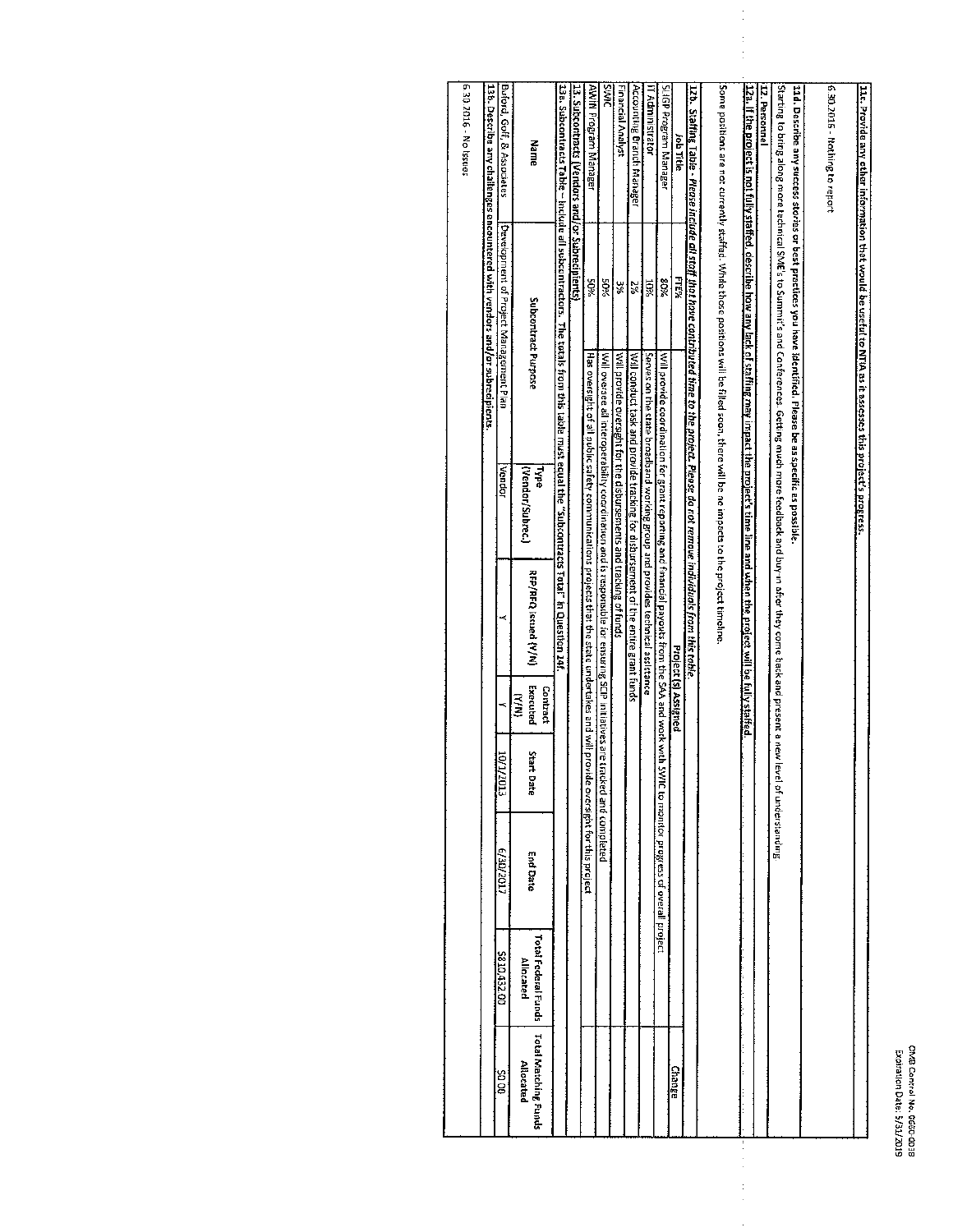$\frac{1}{2}$ 

| 11c. Provide any other information that would be useful to NIIA as it assesses this project's progress.                                                                        |                                        |                                                                    |                       |                                                                                                                                            |                               |                     |                                |                                  |                                          |
|--------------------------------------------------------------------------------------------------------------------------------------------------------------------------------|----------------------------------------|--------------------------------------------------------------------|-----------------------|--------------------------------------------------------------------------------------------------------------------------------------------|-------------------------------|---------------------|--------------------------------|----------------------------------|------------------------------------------|
| 6.30.2016 - Nothing to report                                                                                                                                                  |                                        |                                                                    |                       |                                                                                                                                            |                               |                     |                                |                                  |                                          |
| 11d. Describe any success stories or best practices you have identified. Please be as specific as possible                                                                     |                                        |                                                                    |                       |                                                                                                                                            |                               |                     |                                |                                  |                                          |
| .Starting to bring along more technical SME's to Summit's and Conferences. Getting much more feedback and buy-in after they come back and present a new level of understanding |                                        |                                                                    |                       |                                                                                                                                            |                               |                     |                                |                                  |                                          |
| 12. Personnel                                                                                                                                                                  |                                        |                                                                    |                       |                                                                                                                                            |                               |                     |                                |                                  |                                          |
| 1221. If the project is not fully staffed, describe how any lack of staffing may impact the project's time line and when the project will be fully staffed.                    |                                        |                                                                    |                       |                                                                                                                                            |                               |                     |                                |                                  |                                          |
|                                                                                                                                                                                |                                        |                                                                    |                       |                                                                                                                                            |                               |                     |                                |                                  |                                          |
| . Some positions are not currently staffed. While those positions will be filled soon, there will be no impacts to the project timeline.                                       |                                        |                                                                    |                       |                                                                                                                                            |                               |                     |                                |                                  |                                          |
| 12b. Staffing Table - Please include all staff that have contributed time to the project. Please do not remove individuals from this teble.                                    |                                        |                                                                    |                       |                                                                                                                                            |                               |                     |                                |                                  |                                          |
| Job Title                                                                                                                                                                      | FTE%                                   |                                                                    |                       |                                                                                                                                            | Project (s) Assigned          |                     |                                |                                  | Change                                   |
| StiGP Program Manager                                                                                                                                                          | 80%                                    |                                                                    |                       | Will provide coordination for grant reporting and financial payouts from the SAA and work with SWIC to monitor progress of overall project |                               |                     |                                |                                  |                                          |
| iT Administrator                                                                                                                                                               | <b>10%</b>                             |                                                                    |                       | Serves on the state broadband working group and provides technical assistance                                                              |                               |                     |                                |                                  |                                          |
| Accounting Branch Manager                                                                                                                                                      | 2%                                     |                                                                    |                       | Will conduct task and provide tracking for disbursement of the entire grant funds                                                          |                               |                     |                                |                                  |                                          |
| Financial Analyst                                                                                                                                                              | ¥E                                     | Will provide oversight for the disbursements and tracking of funds |                       |                                                                                                                                            |                               |                     |                                |                                  |                                          |
| <b>SIMS</b>                                                                                                                                                                    | 50%                                    |                                                                    |                       | Will oversee all interoperability coordination and is responsible for ensuring SCIP initiatives are tre                                    |                               | icked and completed |                                |                                  |                                          |
| AWin Program Manager                                                                                                                                                           | %0S                                    |                                                                    |                       | Has oversight of all public safety communications projects that the state undertakes and will provi                                        |                               |                     | ide oversight for this project |                                  |                                          |
| 3. Subcontracts (Vendors and/or Subrecipients)                                                                                                                                 |                                        |                                                                    |                       |                                                                                                                                            |                               |                     |                                |                                  |                                          |
| 13a. Subcontracts Table – include all subcontractors. The totals from this table must equal the "Subcontracts Torals" in Question 14f.                                         |                                        |                                                                    |                       |                                                                                                                                            |                               |                     |                                |                                  |                                          |
| Name                                                                                                                                                                           | Subcontract Purpose                    |                                                                    | (Vendor/Subrec.)<br>碱 | RFP/RFQ issued {Y/N}                                                                                                                       | Executed<br>Contract<br>(N/A) | Start<br>E Date     | End Date                       | Total Federal Funds<br>Allocated | <b>Total Matching Funds</b><br>Allocated |
| Buford, Goff, & Associates                                                                                                                                                     | Development of Project Management Plan |                                                                    | Vendor                |                                                                                                                                            |                               | inor<br>7013        | E/3D/2017                      | 5810,432.00                      | 00 DŠ                                    |
| L3b. Describe any challenges encountered with vendors and/or subrecipients.                                                                                                    |                                        |                                                                    |                       |                                                                                                                                            |                               |                     |                                |                                  |                                          |
| 6.30.2016 - No Issues                                                                                                                                                          |                                        |                                                                    |                       |                                                                                                                                            |                               |                     |                                |                                  |                                          |
|                                                                                                                                                                                |                                        |                                                                    |                       |                                                                                                                                            |                               |                     |                                |                                  |                                          |

 $\ddot{\phantom{0}}$